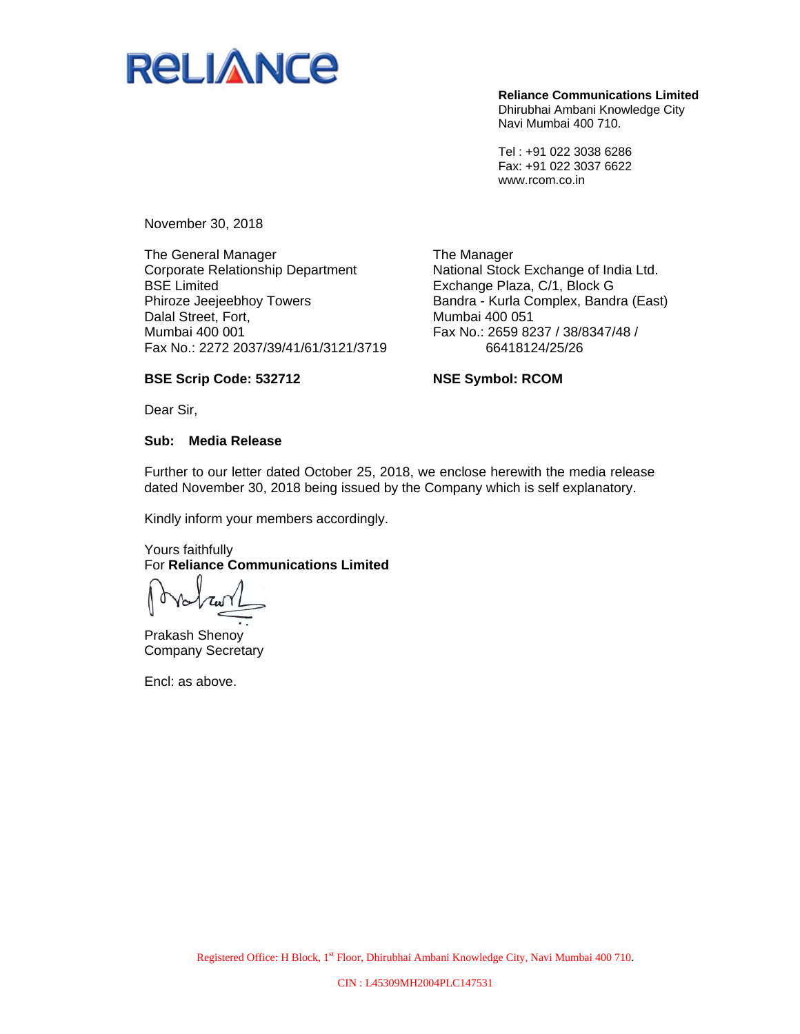

**Reliance Communications Limited**  Dhirubhai Ambani Knowledge City Navi Mumbai 400 710.

Tel : +91 022 3038 6286 Fax: +91 022 3037 6622 www.rcom.co.in

November 30, 2018

The General Manager Corporate Relationship Department BSE Limited Phiroze Jeejeebhoy Towers Dalal Street, Fort, Mumbai 400 001 Fax No.: 2272 2037/39/41/61/3121/3719

The Manager National Stock Exchange of India Ltd. Exchange Plaza, C/1, Block G Bandra - Kurla Complex, Bandra (East) Mumbai 400 051 Fax No.: 2659 8237 / 38/8347/48 / 66418124/25/26

## **BSE Scrip Code: 532712**

**NSE Symbol: RCOM** 

Dear Sir,

### **Sub: Media Release**

Further to our letter dated October 25, 2018, we enclose herewith the media release dated November 30, 2018 being issued by the Company which is self explanatory.

Kindly inform your members accordingly.

## Yours faithfully For **Reliance Communications Limited**

Prakash Shenoy Company Secretary

Encl: as above.